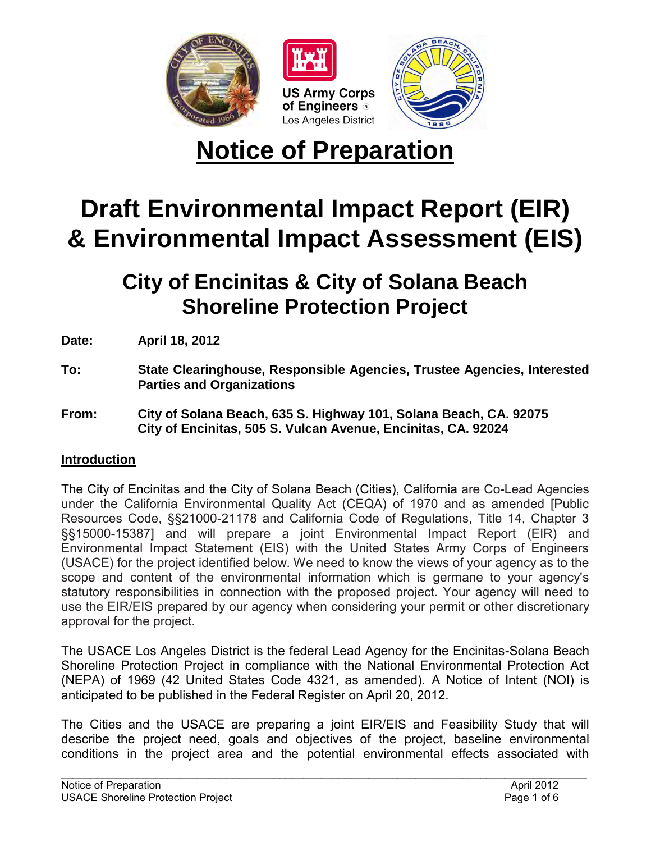

# **Notice of Preparation**

## **Draft Environmental Impact Report (EIR) & Environmental Impact Assessment (EIS)**

**City of Encinitas & City of Solana Beach Shoreline Protection Project** 

**Date: April 18, 2012** 

- **To: State Clearinghouse, Responsible Agencies, Trustee Agencies, Interested Parties and Organizations**
- **From: City of Solana Beach, 635 S. Highway 101, Solana Beach, CA. 92075 City of Encinitas, 505 S. Vulcan Avenue, Encinitas, CA. 92024**

### **Introduction**

The City of Encinitas and the City of Solana Beach (Cities), California are Co-Lead Agencies under the California Environmental Quality Act (CEQA) of 1970 and as amended [Public Resources Code, §§21000-21178 and California Code of Regulations, Title 14, Chapter 3 §§15000-15387] and will prepare a joint Environmental Impact Report (EIR) and Environmental Impact Statement (EIS) with the United States Army Corps of Engineers (USACE) for the project identified below. We need to know the views of your agency as to the scope and content of the environmental information which is germane to your agency's statutory responsibilities in connection with the proposed project. Your agency will need to use the EIR/EIS prepared by our agency when considering your permit or other discretionary approval for the project.

The USACE Los Angeles District is the federal Lead Agency for the Encinitas-Solana Beach Shoreline Protection Project in compliance with the National Environmental Protection Act (NEPA) of 1969 (42 United States Code 4321, as amended). A Notice of Intent (NOI) is anticipated to be published in the Federal Register on April 20, 2012.

The Cities and the USACE are preparing a joint EIR/EIS and Feasibility Study that will describe the project need, goals and objectives of the project, baseline environmental conditions in the project area and the potential environmental effects associated with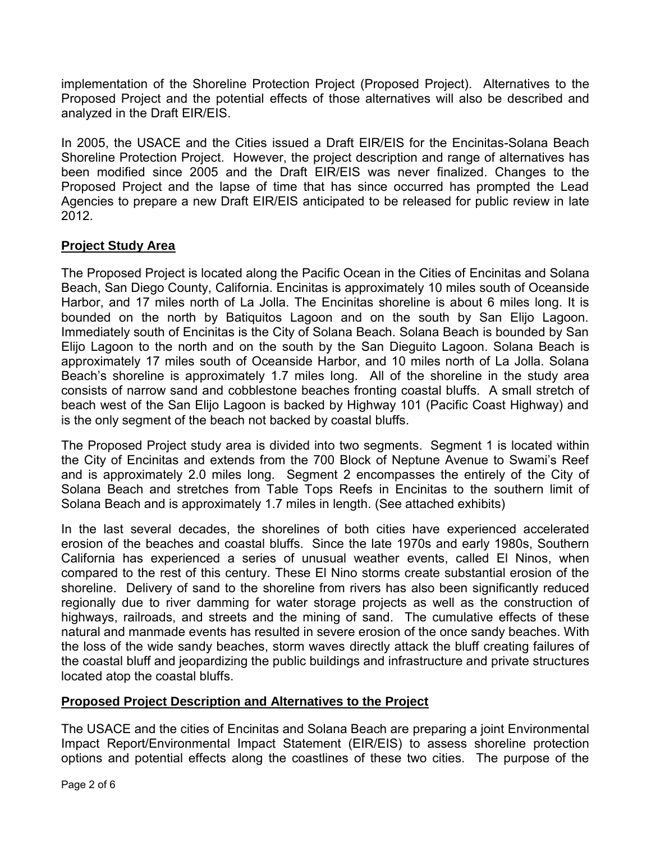implementation of the Shoreline Protection Project (Proposed Project). Alternatives to the Proposed Project and the potential effects of those alternatives will also be described and analyzed in the Draft EIR/EIS.

In 2005, the USACE and the Cities issued a Draft EIR/EIS for the Encinitas-Solana Beach Shoreline Protection Project. However, the project description and range of alternatives has been modified since 2005 and the Draft EIR/EIS was never finalized. Changes to the Proposed Project and the lapse of time that has since occurred has prompted the Lead Agencies to prepare a new Draft EIR/EIS anticipated to be released for public review in late 2012.

### **Project Study Area**

The Proposed Project is located along the Pacific Ocean in the Cities of Encinitas and Solana Beach, San Diego County, California. Encinitas is approximately 10 miles south of Oceanside Harbor, and 17 miles north of La Jolla. The Encinitas shoreline is about 6 miles long. It is bounded on the north by Batiquitos Lagoon and on the south by San Elijo Lagoon. Immediately south of Encinitas is the City of Solana Beach. Solana Beach is bounded by San Elijo Lagoon to the north and on the south by the San Dieguito Lagoon. Solana Beach is approximately 17 miles south of Oceanside Harbor, and 10 miles north of La Jolla. Solana Beach's shoreline is approximately 1.7 miles long. All of the shoreline in the study area consists of narrow sand and cobblestone beaches fronting coastal bluffs. A small stretch of beach west of the San Elijo Lagoon is backed by Highway 101 (Pacific Coast Highway) and is the only segment of the beach not backed by coastal bluffs.

The Proposed Project study area is divided into two segments. Segment 1 is located within the City of Encinitas and extends from the 700 Block of Neptune Avenue to Swami's Reef and is approximately 2.0 miles long. Segment 2 encompasses the entirely of the City of Solana Beach and stretches from Table Tops Reefs in Encinitas to the southern limit of Solana Beach and is approximately 1.7 miles in length. (See attached exhibits)

In the last several decades, the shorelines of both cities have experienced accelerated erosion of the beaches and coastal bluffs. Since the late 1970s and early 1980s, Southern California has experienced a series of unusual weather events, called El Ninos, when compared to the rest of this century. These El Nino storms create substantial erosion of the shoreline. Delivery of sand to the shoreline from rivers has also been significantly reduced regionally due to river damming for water storage projects as well as the construction of highways, railroads, and streets and the mining of sand. The cumulative effects of these natural and manmade events has resulted in severe erosion of the once sandy beaches. With the loss of the wide sandy beaches, storm waves directly attack the bluff creating failures of the coastal bluff and jeopardizing the public buildings and infrastructure and private structures located atop the coastal bluffs.

### **Proposed Project Description and Alternatives to the Project**

The USACE and the cities of Encinitas and Solana Beach are preparing a joint Environmental Impact Report/Environmental Impact Statement (EIR/EIS) to assess shoreline protection options and potential effects along the coastlines of these two cities. The purpose of the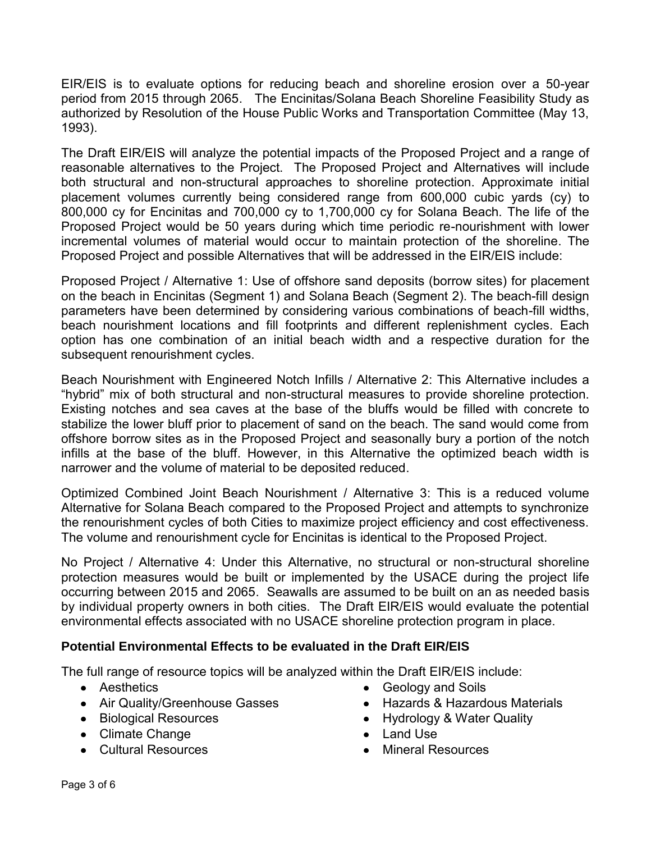EIR/EIS is to evaluate options for reducing beach and shoreline erosion over a 50-year period from 2015 through 2065. The Encinitas/Solana Beach Shoreline Feasibility Study as authorized by Resolution of the House Public Works and Transportation Committee (May 13, 1993).

The Draft EIR/EIS will analyze the potential impacts of the Proposed Project and a range of reasonable alternatives to the Project. The Proposed Project and Alternatives will include both structural and non-structural approaches to shoreline protection. Approximate initial placement volumes currently being considered range from 600,000 cubic yards (cy) to 800,000 cy for Encinitas and 700,000 cy to 1,700,000 cy for Solana Beach. The life of the Proposed Project would be 50 years during which time periodic re-nourishment with lower incremental volumes of material would occur to maintain protection of the shoreline. The Proposed Project and possible Alternatives that will be addressed in the EIR/EIS include:

Proposed Project / Alternative 1: Use of offshore sand deposits (borrow sites) for placement on the beach in Encinitas (Segment 1) and Solana Beach (Segment 2). The beach-fill design parameters have been determined by considering various combinations of beach-fill widths, beach nourishment locations and fill footprints and different replenishment cycles. Each option has one combination of an initial beach width and a respective duration for the subsequent renourishment cycles.

Beach Nourishment with Engineered Notch Infills / Alternative 2: This Alternative includes a "hybrid" mix of both structural and non-structural measures to provide shoreline protection. Existing notches and sea caves at the base of the bluffs would be filled with concrete to stabilize the lower bluff prior to placement of sand on the beach. The sand would come from offshore borrow sites as in the Proposed Project and seasonally bury a portion of the notch infills at the base of the bluff. However, in this Alternative the optimized beach width is narrower and the volume of material to be deposited reduced.

Optimized Combined Joint Beach Nourishment / Alternative 3: This is a reduced volume Alternative for Solana Beach compared to the Proposed Project and attempts to synchronize the renourishment cycles of both Cities to maximize project efficiency and cost effectiveness. The volume and renourishment cycle for Encinitas is identical to the Proposed Project.

No Project / Alternative 4: Under this Alternative, no structural or non-structural shoreline protection measures would be built or implemented by the USACE during the project life occurring between 2015 and 2065. Seawalls are assumed to be built on an as needed basis by individual property owners in both cities. The Draft EIR/EIS would evaluate the potential environmental effects associated with no USACE shoreline protection program in place.

### **Potential Environmental Effects to be evaluated in the Draft EIR/EIS**

The full range of resource topics will be analyzed within the Draft EIR/EIS include:

- Aesthetics
- Air Quality/Greenhouse Gasses
- Biological Resources
- Climate Change
- Cultural Resources
- Geology and Soils
- Hazards & Hazardous Materials
- Hydrology & Water Quality
- Land Use
- Mineral Resources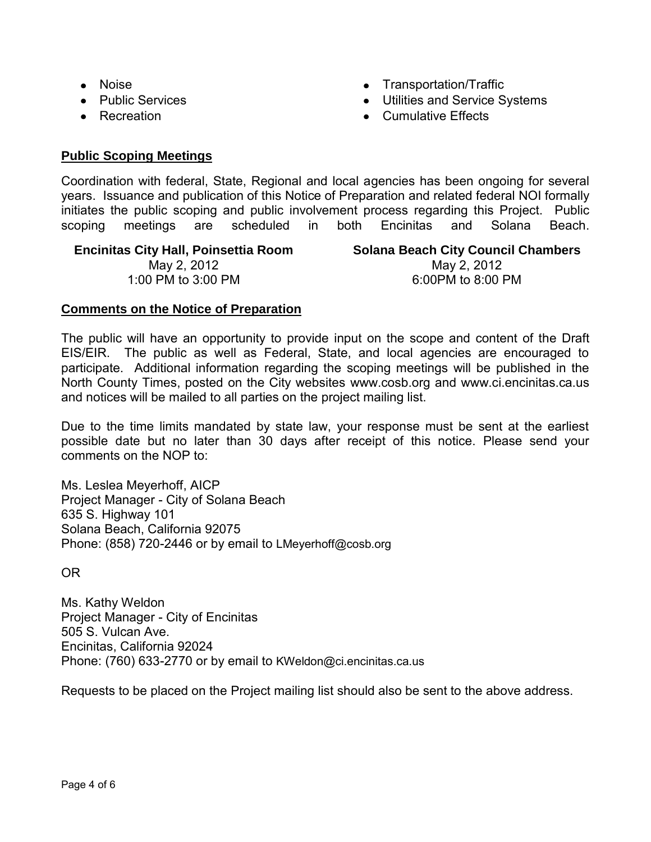- Noise
- Public Services
- Recreation
- Transportation/Traffic
- Utilities and Service Systems
- Cumulative Effects

### **Public Scoping Meetings**

Coordination with federal, State, Regional and local agencies has been ongoing for several years. Issuance and publication of this Notice of Preparation and related federal NOI formally initiates the public scoping and public involvement process regarding this Project. Public scoping meetings are scheduled in both Encinitas and Solana Beach.

**Encinitas City Hall, Poinsettia Room**  May 2, 2012 1:00 PM to 3:00 PM

**Solana Beach City Council Chambers**  May 2, 2012 6:00PM to 8:00 PM

#### **Comments on the Notice of Preparation**

The public will have an opportunity to provide input on the scope and content of the Draft EIS/EIR. The public as well as Federal, State, and local agencies are encouraged to participate. Additional information regarding the scoping meetings will be published in the North County Times, posted on the City websites www.cosb.org and www.ci.encinitas.ca.us and notices will be mailed to all parties on the project mailing list.

Due to the time limits mandated by state law, your response must be sent at the earliest possible date but no later than 30 days after receipt of this notice. Please send your comments on the NOP to:

Ms. Leslea Meyerhoff, AICP Project Manager - City of Solana Beach 635 S. Highway 101 Solana Beach, California 92075 Phone: (858) 720-2446 or by email to LMeyerhoff@cosb.org

#### OR

Ms. Kathy Weldon Project Manager - City of Encinitas 505 S. Vulcan Ave. Encinitas, California 92024 Phone: (760) 633-2770 or by email to KWeldon@ci.encinitas.ca.us

Requests to be placed on the Project mailing list should also be sent to the above address.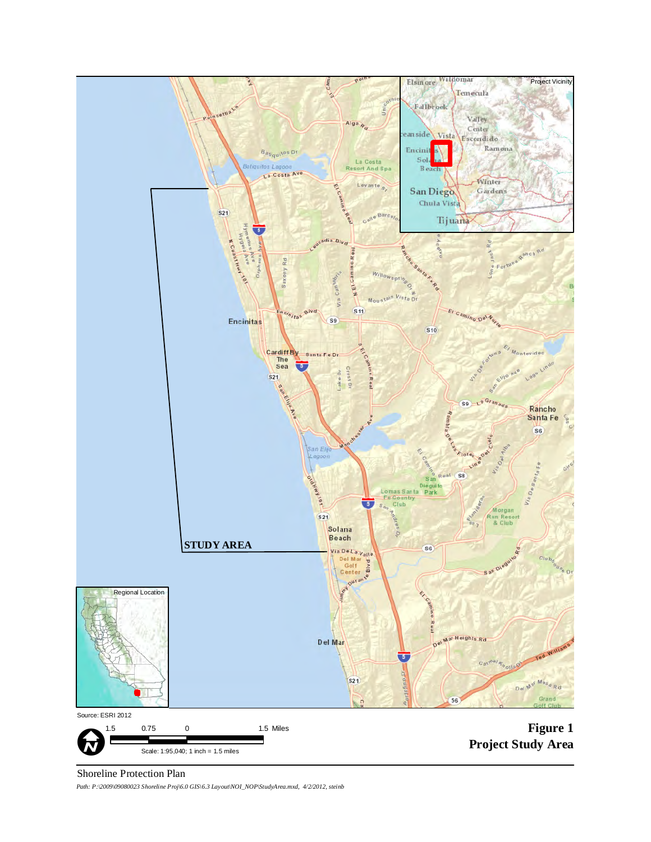

#### Shoreline Protection Plan

*Path: P:\2009\09080023 Shoreline Proj\6.0 GIS\6.3 Layout\NOI\_NOP\StudyArea.mxd, 4/2/2012, steinb*